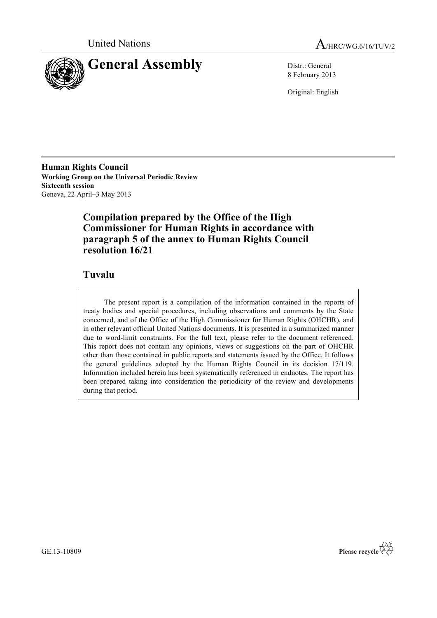



8 February 2013

Original: English

**Human Rights Council Working Group on the Universal Periodic Review Sixteenth session** Geneva, 22 April–3 May 2013

## **Compilation prepared by the Office of the High Commissioner for Human Rights in accordance with paragraph 5 of the annex to Human Rights Council resolution 16/21**

### **Tuvalu**

The present report is a compilation of the information contained in the reports of treaty bodies and special procedures, including observations and comments by the State concerned, and of the Office of the High Commissioner for Human Rights (OHCHR), and in other relevant official United Nations documents. It is presented in a summarized manner due to word-limit constraints. For the full text, please refer to the document referenced. This report does not contain any opinions, views or suggestions on the part of OHCHR other than those contained in public reports and statements issued by the Office. It follows the general guidelines adopted by the Human Rights Council in its decision 17/119. Information included herein has been systematically referenced in endnotes. The report has been prepared taking into consideration the periodicity of the review and developments during that period.

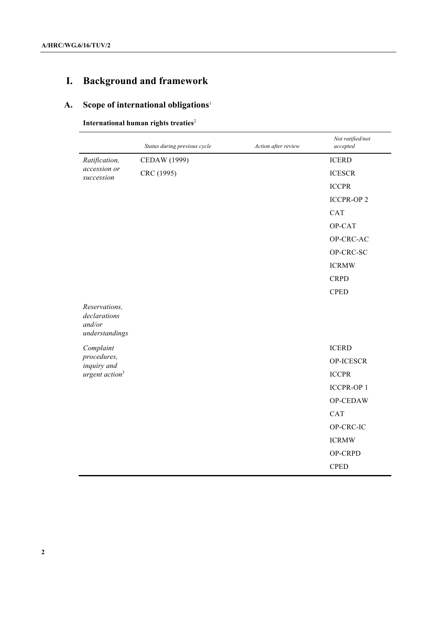# **I. Background and framework**

# **A. Scope of international obligations**<sup>1</sup>

### **International human rights treaties**<sup>2</sup>

|                                                           | Status during previous cycle | Action after review | Not ratified/not<br>accepted |
|-----------------------------------------------------------|------------------------------|---------------------|------------------------------|
| Ratification,                                             | CEDAW (1999)                 |                     | <b>ICERD</b>                 |
| accession or<br>succession                                | CRC (1995)                   |                     | <b>ICESCR</b>                |
|                                                           |                              |                     | <b>ICCPR</b>                 |
|                                                           |                              |                     | <b>ICCPR-OP2</b>             |
|                                                           |                              |                     | <b>CAT</b>                   |
|                                                           |                              |                     | OP-CAT                       |
|                                                           |                              |                     | OP-CRC-AC                    |
|                                                           |                              |                     | OP-CRC-SC                    |
|                                                           |                              |                     | <b>ICRMW</b>                 |
|                                                           |                              |                     | <b>CRPD</b>                  |
|                                                           |                              |                     | <b>CPED</b>                  |
| Reservations,<br>declarations<br>and/or<br>understandings |                              |                     |                              |
| Complaint                                                 |                              |                     | <b>ICERD</b>                 |
| procedures,<br>inquiry and                                |                              |                     | OP-ICESCR                    |
| urgent action <sup>3</sup>                                |                              |                     | <b>ICCPR</b>                 |
|                                                           |                              |                     | <b>ICCPR-OP1</b>             |
|                                                           |                              |                     | OP-CEDAW                     |
|                                                           |                              |                     | <b>CAT</b>                   |
|                                                           |                              |                     | OP-CRC-IC                    |
|                                                           |                              |                     | <b>ICRMW</b>                 |
|                                                           |                              |                     | OP-CRPD                      |
|                                                           |                              |                     | <b>CPED</b>                  |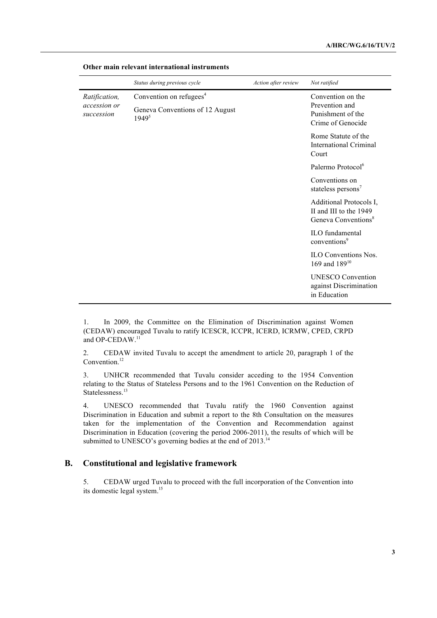|                                             | Status during previous cycle                                                         | Action after review | Not ratified                                                                         |
|---------------------------------------------|--------------------------------------------------------------------------------------|---------------------|--------------------------------------------------------------------------------------|
| Ratification,<br>accession or<br>succession | Convention on refugees <sup>4</sup><br>Geneva Conventions of 12 August<br>$1949^{5}$ |                     | Convention on the<br>Prevention and<br>Punishment of the<br>Crime of Genocide        |
|                                             |                                                                                      |                     | Rome Statute of the<br><b>International Criminal</b><br>Court                        |
|                                             |                                                                                      |                     | Palermo Protocol <sup>6</sup>                                                        |
|                                             |                                                                                      |                     | Conventions on<br>stateless persons <sup>7</sup>                                     |
|                                             |                                                                                      |                     | Additional Protocols I,<br>II and III to the 1949<br>Geneva Conventions <sup>8</sup> |
|                                             |                                                                                      |                     | ILO fundamental<br>conventions <sup>9</sup>                                          |
|                                             |                                                                                      |                     | <b>ILO</b> Conventions Nos.<br>169 and $189^{10}$                                    |
|                                             |                                                                                      |                     | <b>UNESCO</b> Convention<br>against Discrimination<br>in Education                   |

#### **Other main relevant international instruments**

1. In 2009, the Committee on the Elimination of Discrimination against Women (CEDAW) encouraged Tuvalu to ratify ICESCR, ICCPR, ICERD, ICRMW, CPED, CRPD and OP-CEDAW.<sup>11</sup>

2. CEDAW invited Tuvalu to accept the amendment to article 20, paragraph 1 of the Convention.<sup>12</sup>

3. UNHCR recommended that Tuvalu consider acceding to the 1954 Convention relating to the Status of Stateless Persons and to the 1961 Convention on the Reduction of Statelessness. 13

4. UNESCO recommended that Tuvalu ratify the 1960 Convention against Discrimination in Education and submit a report to the 8th Consultation on the measures taken for the implementation of the Convention and Recommendation against Discrimination in Education (covering the period 2006-2011), the results of which will be submitted to UNESCO's governing bodies at the end of 2013.<sup>14</sup>

### **B. Constitutional and legislative framework**

5. CEDAW urged Tuvalu to proceed with the full incorporation of the Convention into its domestic legal system.15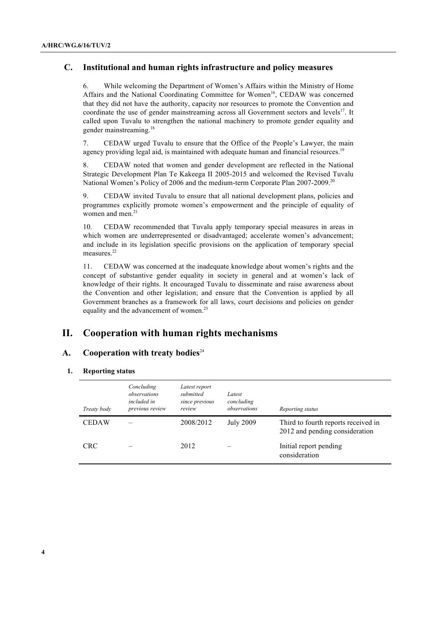### **C. Institutional and human rights infrastructure and policy measures**

6. While welcoming the Department of Women's Affairs within the Ministry of Home Affairs and the National Coordinating Committee for Women<sup>16</sup>, CEDAW was concerned that they did not have the authority, capacity nor resources to promote the Convention and coordinate the use of gender mainstreaming across all Government sectors and levels<sup>17</sup>. It called upon Tuvalu to strengthen the national machinery to promote gender equality and gender mainstreaming.<sup>18</sup>

7. CEDAW urged Tuvalu to ensure that the Office of the People's Lawyer, the main agency providing legal aid, is maintained with adequate human and financial resources.<sup>19</sup>

8. CEDAW noted that women and gender development are reflected in the National Strategic Development Plan Te Kakeega II 2005-2015 and welcomed the Revised Tuvalu National Women's Policy of 2006 and the medium-term Corporate Plan 2007-2009.<sup>20</sup>

9. CEDAW invited Tuvalu to ensure that all national development plans, policies and programmes explicitly promote women's empowerment and the principle of equality of women and men.<sup>21</sup>

10. CEDAW recommended that Tuvalu apply temporary special measures in areas in which women are underrepresented or disadvantaged; accelerate women's advancement; and include in its legislation specific provisions on the application of temporary special measures.<sup>22</sup>

11. CEDAW was concerned at the inadequate knowledge about women's rights and the concept of substantive gender equality in society in general and at women's lack of knowledge of their rights. It encouraged Tuvalu to disseminate and raise awareness about the Convention and other legislation; and ensure that the Convention is applied by all Government branches as a framework for all laws, court decisions and policies on gender equality and the advancement of women.<sup>23</sup>

### **II. Cooperation with human rights mechanisms**

### A. Cooperation with treaty bodies<sup>24</sup>

#### **1. Reporting status**

| Treaty body  | Concluding<br>observations<br>included in<br>previous review | Latest report<br>submitted<br>since previous<br>review | Latest<br>concluding<br>observations | Reporting status                                                      |
|--------------|--------------------------------------------------------------|--------------------------------------------------------|--------------------------------------|-----------------------------------------------------------------------|
| <b>CEDAW</b> |                                                              | 2008/2012                                              | <b>July 2009</b>                     | Third to fourth reports received in<br>2012 and pending consideration |
| <b>CRC</b>   |                                                              | 2012                                                   |                                      | Initial report pending<br>consideration                               |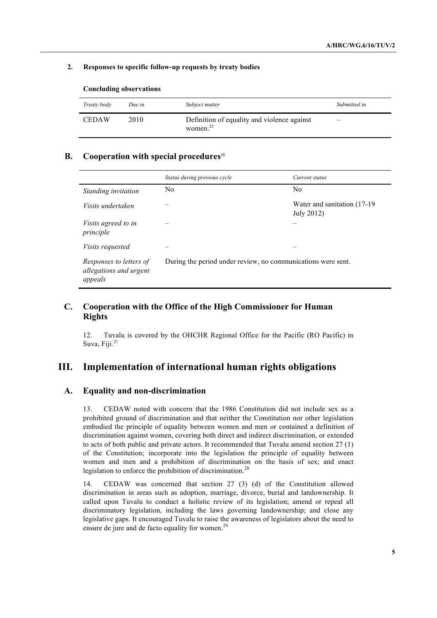#### **2. Responses to specific follow-up requests by treaty bodies**

| Treaty body  | Due in | Subject matter                                                      | Submitted in |
|--------------|--------|---------------------------------------------------------------------|--------------|
| <b>CEDAW</b> | 2010   | Definition of equality and violence against<br>women. <sup>25</sup> |              |

#### **Concluding observations**

### **B. Cooperation with special procedures**<sup>26</sup>

|                                                              | Status during previous cycle | Current status                                               |  |
|--------------------------------------------------------------|------------------------------|--------------------------------------------------------------|--|
| Standing invitation                                          | N <sub>0</sub>               | N <sub>0</sub>                                               |  |
| Visits undertaken                                            |                              | Water and sanitation (17-19)<br>July 2012)                   |  |
| <i>Visits agreed to in</i><br>principle                      |                              |                                                              |  |
| <i>Visits requested</i>                                      |                              |                                                              |  |
| Responses to letters of<br>allegations and urgent<br>appeals |                              | During the period under review, no communications were sent. |  |

### **C. Cooperation with the Office of the High Commissioner for Human Rights**

12. Tuvalu is covered by the OHCHR Regional Office for the Pacific (RO Pacific) in Suva, Fiji.<sup>27</sup>

### **III. Implementation of international human rights obligations**

### **A. Equality and non-discrimination**

13. CEDAW noted with concern that the 1986 Constitution did not include sex as a prohibited ground of discrimination and that neither the Constitution nor other legislation embodied the principle of equality between women and men or contained a definition of discrimination against women, covering both direct and indirect discrimination, or extended to acts of both public and private actors. It recommended that Tuvalu amend section 27 (1) of the Constitution; incorporate into the legislation the principle of equality between women and men and a prohibition of discrimination on the basis of sex; and enact legislation to enforce the prohibition of discrimination.<sup>28</sup>

14. CEDAW was concerned that section 27 (3) (d) of the Constitution allowed discrimination in areas such as adoption, marriage, divorce, burial and landownership. It called upon Tuvalu to conduct a holistic review of its legislation; amend or repeal all discriminatory legislation, including the laws governing landownership; and close any legislative gaps. It encouraged Tuvalu to raise the awareness of legislators about the need to ensure de jure and de facto equality for women.<sup>29</sup>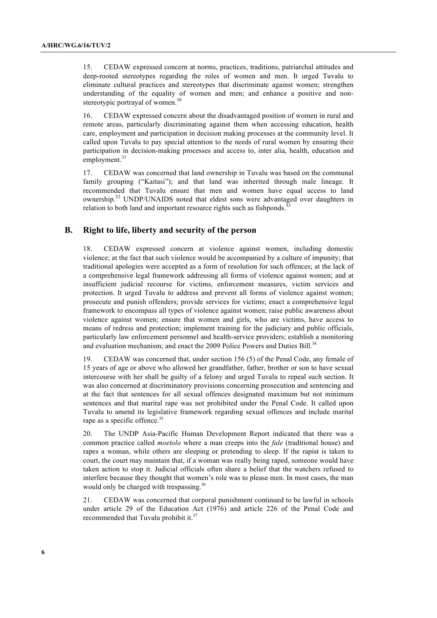15. CEDAW expressed concern at norms, practices, traditions, patriarchal attitudes and deep-rooted stereotypes regarding the roles of women and men. It urged Tuvalu to eliminate cultural practices and stereotypes that discriminate against women; strengthen understanding of the equality of women and men; and enhance a positive and nonstereotypic portrayal of women.<sup>30</sup>

16. CEDAW expressed concern about the disadvantaged position of women in rural and remote areas, particularly discriminating against them when accessing education, health care, employment and participation in decision making processes at the community level. It called upon Tuvalu to pay special attention to the needs of rural women by ensuring their participation in decision-making processes and access to, inter alia, health, education and employment.<sup>31</sup>

17. CEDAW was concerned that land ownership in Tuvalu was based on the communal family grouping ("Kaitasi"); and that land was inherited through male lineage. It recommended that Tuvalu ensure that men and women have equal access to land ownership.<sup>32</sup> UNDP/UNAIDS noted that eldest sons were advantaged over daughters in relation to both land and important resource rights such as fishponds.<sup>33</sup>

### **B. Right to life, liberty and security of the person**

18. CEDAW expressed concern at violence against women, including domestic violence; at the fact that such violence would be accompanied by a culture of impunity; that traditional apologies were accepted as a form of resolution for such offences; at the lack of a comprehensive legal framework addressing all forms of violence against women; and at insufficient judicial recourse for victims, enforcement measures, victim services and protection. It urged Tuvalu to address and prevent all forms of violence against women; prosecute and punish offenders; provide services for victims; enact a comprehensive legal framework to encompass all types of violence against women; raise public awareness about violence against women; ensure that women and girls, who are victims, have access to means of redress and protection; implement training for the judiciary and public officials, particularly law enforcement personnel and health-service providers; establish a monitoring and evaluation mechanism; and enact the 2009 Police Powers and Duties Bill.<sup>34</sup>

19. CEDAW was concerned that, under section 156 (5) of the Penal Code, any female of 15 years of age or above who allowed her grandfather, father, brother or son to have sexual intercourse with her shall be guilty of a felony and urged Tuvalu to repeal such section. It was also concerned at discriminatory provisions concerning prosecution and sentencing and at the fact that sentences for all sexual offences designated maximum but not minimum sentences and that marital rape was not prohibited under the Penal Code. It called upon Tuvalu to amend its legislative framework regarding sexual offences and include marital rape as a specific offence.<sup>35</sup>

20. The UNDP Asia-Pacific Human Development Report indicated that there was a common practice called *moetolo* where a man creeps into the *fale* (traditional house) and rapes a woman, while others are sleeping or pretending to sleep. If the rapist is taken to court, the court may maintain that, if a woman was really being raped, someone would have taken action to stop it. Judicial officials often share a belief that the watchers refused to interfere because they thought that women's role was to please men. In most cases, the man would only be charged with trespassing.<sup>36</sup>

21. CEDAW was concerned that corporal punishment continued to be lawful in schools under article 29 of the Education Act (1976) and article 226 of the Penal Code and recommended that Tuvalu prohibit it.<sup>37</sup>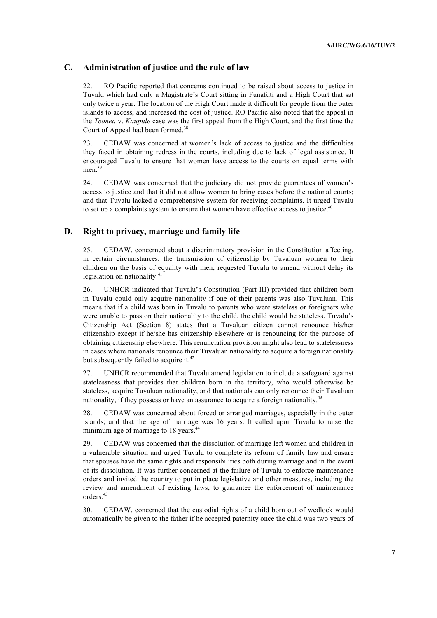### **C. Administration of justice and the rule of law**

22. RO Pacific reported that concerns continued to be raised about access to justice in Tuvalu which had only a Magistrate's Court sitting in Funafuti and a High Court that sat only twice a year. The location of the High Court made it difficult for people from the outer islands to access, and increased the cost of justice. RO Pacific also noted that the appeal in the *Teonea* v. *Kaupule* case was the first appeal from the High Court, and the first time the Court of Appeal had been formed.<sup>38</sup>

23. CEDAW was concerned at women's lack of access to justice and the difficulties they faced in obtaining redress in the courts, including due to lack of legal assistance. It encouraged Tuvalu to ensure that women have access to the courts on equal terms with men.<sup>39</sup>

24. CEDAW was concerned that the judiciary did not provide guarantees of women's access to justice and that it did not allow women to bring cases before the national courts; and that Tuvalu lacked a comprehensive system for receiving complaints. It urged Tuvalu to set up a complaints system to ensure that women have effective access to justice.<sup>40</sup>

### **D. Right to privacy, marriage and family life**

25. CEDAW, concerned about a discriminatory provision in the Constitution affecting, in certain circumstances, the transmission of citizenship by Tuvaluan women to their children on the basis of equality with men, requested Tuvalu to amend without delay its legislation on nationality.<sup>41</sup>

26. UNHCR indicated that Tuvalu's Constitution (Part III) provided that children born in Tuvalu could only acquire nationality if one of their parents was also Tuvaluan. This means that if a child was born in Tuvalu to parents who were stateless or foreigners who were unable to pass on their nationality to the child, the child would be stateless. Tuvalu's Citizenship Act (Section 8) states that a Tuvaluan citizen cannot renounce his/her citizenship except if he/she has citizenship elsewhere or is renouncing for the purpose of obtaining citizenship elsewhere. This renunciation provision might also lead to statelessness in cases where nationals renounce their Tuvaluan nationality to acquire a foreign nationality but subsequently failed to acquire it.<sup>42</sup>

27. UNHCR recommended that Tuvalu amend legislation to include a safeguard against statelessness that provides that children born in the territory, who would otherwise be stateless, acquire Tuvaluan nationality, and that nationals can only renounce their Tuvaluan nationality, if they possess or have an assurance to acquire a foreign nationality.<sup>43</sup>

28. CEDAW was concerned about forced or arranged marriages, especially in the outer islands; and that the age of marriage was 16 years. It called upon Tuvalu to raise the minimum age of marriage to 18 years.<sup>44</sup>

29. CEDAW was concerned that the dissolution of marriage left women and children in a vulnerable situation and urged Tuvalu to complete its reform of family law and ensure that spouses have the same rights and responsibilities both during marriage and in the event of its dissolution. It was further concerned at the failure of Tuvalu to enforce maintenance orders and invited the country to put in place legislative and other measures, including the review and amendment of existing laws, to guarantee the enforcement of maintenance orders.<sup>45</sup>

30. CEDAW, concerned that the custodial rights of a child born out of wedlock would automatically be given to the father if he accepted paternity once the child was two years of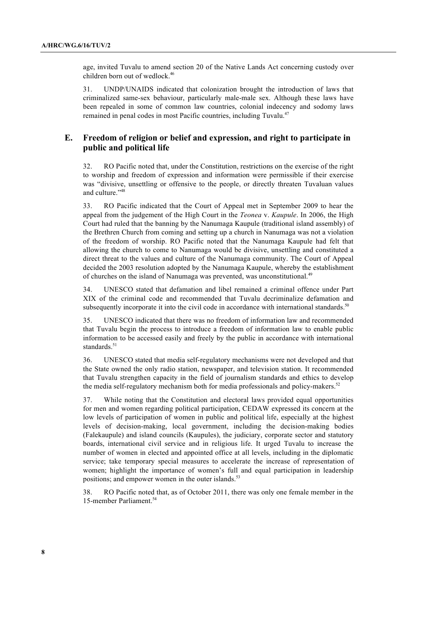age, invited Tuvalu to amend section 20 of the Native Lands Act concerning custody over children born out of wedlock.<sup>46</sup>

31. UNDP/UNAIDS indicated that colonization brought the introduction of laws that criminalized same-sex behaviour, particularly male-male sex. Although these laws have been repealed in some of common law countries, colonial indecency and sodomy laws remained in penal codes in most Pacific countries, including Tuvalu.<sup>47</sup>

### **E. Freedom of religion or belief and expression, and right to participate in public and political life**

32. RO Pacific noted that, under the Constitution, restrictions on the exercise of the right to worship and freedom of expression and information were permissible if their exercise was "divisive, unsettling or offensive to the people, or directly threaten Tuvaluan values and culture."<sup>48</sup>

33. RO Pacific indicated that the Court of Appeal met in September 2009 to hear the appeal from the judgement of the High Court in the *Teonea* v. *Kaupule*. In 2006, the High Court had ruled that the banning by the Nanumaga Kaupule (traditional island assembly) of the Brethren Church from coming and setting up a church in Nanumaga was not a violation of the freedom of worship. RO Pacific noted that the Nanumaga Kaupule had felt that allowing the church to come to Nanumaga would be divisive, unsettling and constituted a direct threat to the values and culture of the Nanumaga community. The Court of Appeal decided the 2003 resolution adopted by the Nanumaga Kaupule, whereby the establishment of churches on the island of Nanumaga was prevented, was unconstitutional.<sup>49</sup>

34. UNESCO stated that defamation and libel remained a criminal offence under Part XIX of the criminal code and recommended that Tuvalu decriminalize defamation and subsequently incorporate it into the civil code in accordance with international standards.<sup>50</sup>

35. UNESCO indicated that there was no freedom of information law and recommended that Tuvalu begin the process to introduce a freedom of information law to enable public information to be accessed easily and freely by the public in accordance with international standards.<sup>51</sup>

36. UNESCO stated that media self-regulatory mechanisms were not developed and that the State owned the only radio station, newspaper, and television station. It recommended that Tuvalu strengthen capacity in the field of journalism standards and ethics to develop the media self-regulatory mechanism both for media professionals and policy-makers.<sup>52</sup>

37. While noting that the Constitution and electoral laws provided equal opportunities for men and women regarding political participation, CEDAW expressed its concern at the low levels of participation of women in public and political life, especially at the highest levels of decision-making, local government, including the decision-making bodies (Falekaupule) and island councils (Kaupules), the judiciary, corporate sector and statutory boards, international civil service and in religious life. It urged Tuvalu to increase the number of women in elected and appointed office at all levels, including in the diplomatic service; take temporary special measures to accelerate the increase of representation of women; highlight the importance of women's full and equal participation in leadership positions; and empower women in the outer islands.<sup>53</sup>

38. RO Pacific noted that, as of October 2011, there was only one female member in the 15-member Parliament.<sup>54</sup>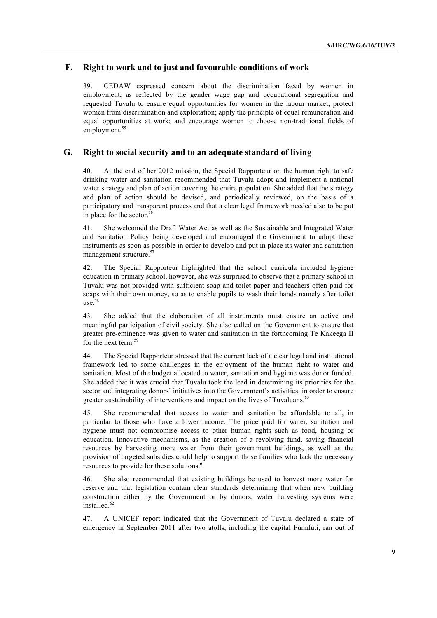### **F. Right to work and to just and favourable conditions of work**

39. CEDAW expressed concern about the discrimination faced by women in employment, as reflected by the gender wage gap and occupational segregation and requested Tuvalu to ensure equal opportunities for women in the labour market; protect women from discrimination and exploitation; apply the principle of equal remuneration and equal opportunities at work; and encourage women to choose non-traditional fields of employment.<sup>55</sup>

### **G. Right to social security and to an adequate standard of living**

40. At the end of her 2012 mission, the Special Rapporteur on the human right to safe drinking water and sanitation recommended that Tuvalu adopt and implement a national water strategy and plan of action covering the entire population. She added that the strategy and plan of action should be devised, and periodically reviewed, on the basis of a participatory and transparent process and that a clear legal framework needed also to be put in place for the sector.<sup>56</sup>

41. She welcomed the Draft Water Act as well as the Sustainable and Integrated Water and Sanitation Policy being developed and encouraged the Government to adopt these instruments as soon as possible in order to develop and put in place its water and sanitation management structure. $5$ 

42. The Special Rapporteur highlighted that the school curricula included hygiene education in primary school, however, she was surprised to observe that a primary school in Tuvalu was not provided with sufficient soap and toilet paper and teachers often paid for soaps with their own money, so as to enable pupils to wash their hands namely after toilet  $use.$ <sup>58</sup>

43. She added that the elaboration of all instruments must ensure an active and meaningful participation of civil society. She also called on the Government to ensure that greater pre-eminence was given to water and sanitation in the forthcoming Te Kakeega II for the next term.<sup>59</sup>

44. The Special Rapporteur stressed that the current lack of a clear legal and institutional framework led to some challenges in the enjoyment of the human right to water and sanitation. Most of the budget allocated to water, sanitation and hygiene was donor funded. She added that it was crucial that Tuvalu took the lead in determining its priorities for the sector and integrating donors' initiatives into the Government's activities, in order to ensure greater sustainability of interventions and impact on the lives of Tuvaluans.<sup>60</sup>

45. She recommended that access to water and sanitation be affordable to all, in particular to those who have a lower income. The price paid for water, sanitation and hygiene must not compromise access to other human rights such as food, housing or education. Innovative mechanisms, as the creation of a revolving fund, saving financial resources by harvesting more water from their government buildings, as well as the provision of targeted subsidies could help to support those families who lack the necessary resources to provide for these solutions.<sup>6</sup>

46. She also recommended that existing buildings be used to harvest more water for reserve and that legislation contain clear standards determining that when new building construction either by the Government or by donors, water harvesting systems were installed.<sup>62</sup>

47. A UNICEF report indicated that the Government of Tuvalu declared a state of emergency in September 2011 after two atolls, including the capital Funafuti, ran out of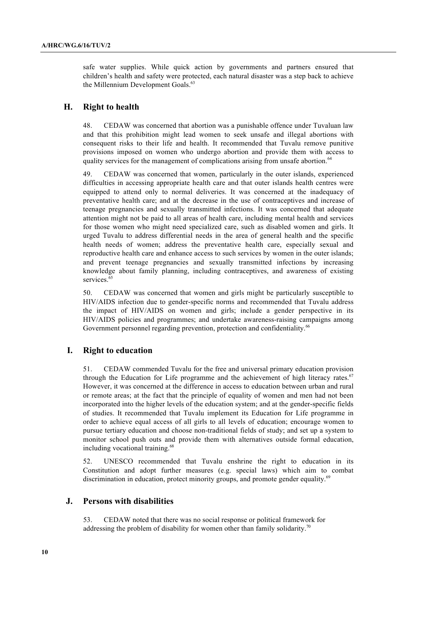safe water supplies. While quick action by governments and partners ensured that children's health and safety were protected, each natural disaster was a step back to achieve the Millennium Development Goals.<sup>63</sup>

### **H. Right to health**

48. CEDAW was concerned that abortion was a punishable offence under Tuvaluan law and that this prohibition might lead women to seek unsafe and illegal abortions with consequent risks to their life and health. It recommended that Tuvalu remove punitive provisions imposed on women who undergo abortion and provide them with access to quality services for the management of complications arising from unsafe abortion.<sup>6</sup>

49. CEDAW was concerned that women, particularly in the outer islands, experienced difficulties in accessing appropriate health care and that outer islands health centres were equipped to attend only to normal deliveries. It was concerned at the inadequacy of preventative health care; and at the decrease in the use of contraceptives and increase of teenage pregnancies and sexually transmitted infections. It was concerned that adequate attention might not be paid to all areas of health care, including mental health and services for those women who might need specialized care, such as disabled women and girls. It urged Tuvalu to address differential needs in the area of general health and the specific health needs of women; address the preventative health care, especially sexual and reproductive health care and enhance access to such services by women in the outer islands; and prevent teenage pregnancies and sexually transmitted infections by increasing knowledge about family planning, including contraceptives, and awareness of existing services.<sup>65</sup>

50. CEDAW was concerned that women and girls might be particularly susceptible to HIV/AIDS infection due to gender-specific norms and recommended that Tuvalu address the impact of HIV/AIDS on women and girls; include a gender perspective in its HIV/AIDS policies and programmes; and undertake awareness-raising campaigns among Government personnel regarding prevention, protection and confidentiality.<sup>66</sup>

### **I. Right to education**

51. CEDAW commended Tuvalu for the free and universal primary education provision through the Education for Life programme and the achievement of high literacy rates. $67$ However, it was concerned at the difference in access to education between urban and rural or remote areas; at the fact that the principle of equality of women and men had not been incorporated into the higher levels of the education system; and at the gender-specific fields of studies. It recommended that Tuvalu implement its Education for Life programme in order to achieve equal access of all girls to all levels of education; encourage women to pursue tertiary education and choose non-traditional fields of study; and set up a system to monitor school push outs and provide them with alternatives outside formal education, including vocational training.<sup>68</sup>

52. UNESCO recommended that Tuvalu enshrine the right to education in its Constitution and adopt further measures (e.g. special laws) which aim to combat discrimination in education, protect minority groups, and promote gender equality.<sup>69</sup>

### **J. Persons with disabilities**

53. CEDAW noted that there was no social response or political framework for addressing the problem of disability for women other than family solidarity.<sup>70</sup>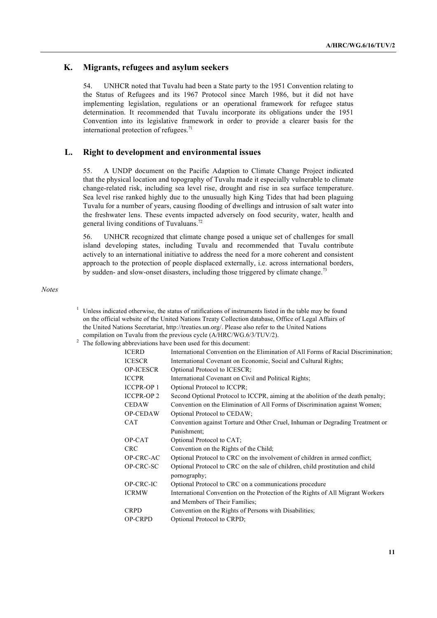### **K. Migrants, refugees and asylum seekers**

54. UNHCR noted that Tuvalu had been a State party to the 1951 Convention relating to the Status of Refugees and its 1967 Protocol since March 1986, but it did not have implementing legislation, regulations or an operational framework for refugee status determination. It recommended that Tuvalu incorporate its obligations under the 1951 Convention into its legislative framework in order to provide a clearer basis for the international protection of refugees. $71$ 

### **L. Right to development and environmental issues**

55. A UNDP document on the Pacific Adaption to Climate Change Project indicated that the physical location and topography of Tuvalu made it especially vulnerable to climate change-related risk, including sea level rise, drought and rise in sea surface temperature. Sea level rise ranked highly due to the unusually high King Tides that had been plaguing Tuvalu for a number of years, causing flooding of dwellings and intrusion of salt water into the freshwater lens. These events impacted adversely on food security, water, health and general living conditions of Tuvaluans.<sup>72</sup>

56. UNHCR recognized that climate change posed a unique set of challenges for small island developing states, including Tuvalu and recommended that Tuvalu contribute actively to an international initiative to address the need for a more coherent and consistent approach to the protection of people displaced externally, i.e. across international borders, by sudden- and slow-onset disasters, including those triggered by climate change.<sup>73</sup>

*Notes*

- $1$  Unless indicated otherwise, the status of ratifications of instruments listed in the table may be found on the official website of the United Nations Treaty Collection database, Office of Legal Affairs of the United Nations Secretariat, http://treaties.un.org/. Please also refer to the United Nations compilation on Tuvalu from the previous cycle (A/HRC/WG.6/3/TUV/2).
- <sup>2</sup> The following abbreviations have been used for this document:

| ICERD             | International Convention on the Elimination of All Forms of Racial Discrimination. |
|-------------------|------------------------------------------------------------------------------------|
| <b>ICESCR</b>     | International Covenant on Economic, Social and Cultural Rights;                    |
| <b>OP-ICESCR</b>  | Optional Protocol to ICESCR;                                                       |
| <b>ICCPR</b>      | International Covenant on Civil and Political Rights;                              |
| <b>ICCPR-OP 1</b> | Optional Protocol to ICCPR;                                                        |
| <b>ICCPR-OP 2</b> | Second Optional Protocol to ICCPR, aiming at the abolition of the death penalty;   |
| <b>CEDAW</b>      | Convention on the Elimination of All Forms of Discrimination against Women;        |
| <b>OP-CEDAW</b>   | Optional Protocol to CEDAW;                                                        |
| <b>CAT</b>        | Convention against Torture and Other Cruel, Inhuman or Degrading Treatment or      |
|                   | Punishment:                                                                        |
| OP-CAT            | Optional Protocol to CAT;                                                          |
| <b>CRC</b>        | Convention on the Rights of the Child;                                             |
| OP-CRC-AC         | Optional Protocol to CRC on the involvement of children in armed conflict;         |
| OP-CRC-SC         | Optional Protocol to CRC on the sale of children, child prostitution and child     |
|                   | pornography;                                                                       |
| OP-CRC-IC         | Optional Protocol to CRC on a communications procedure                             |
| <b>ICRMW</b>      | International Convention on the Protection of the Rights of All Migrant Workers    |
|                   | and Members of Their Families;                                                     |
| <b>CRPD</b>       | Convention on the Rights of Persons with Disabilities;                             |
| <b>OP-CRPD</b>    | Optional Protocol to CRPD;                                                         |
|                   |                                                                                    |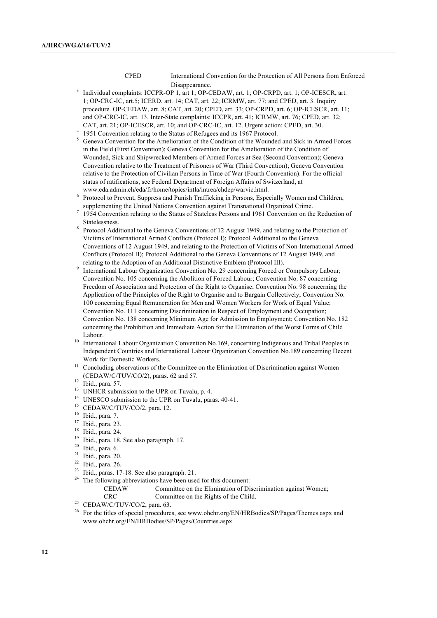- CPED International Convention for the Protection of All Persons from Enforced Disappearance.
- Individual complaints: ICCPR-OP 1, art 1; OP-CEDAW, art. 1; OP-CRPD, art. 1; OP-ICESCR, art. 1; OP-CRC-IC, art.5; ICERD, art. 14; CAT, art. 22; ICRMW, art. 77; and CPED, art. 3. Inquiry procedure. OP-CEDAW, art. 8; CAT, art. 20; CPED, art. 33; OP-CRPD, art. 6; OP-ICESCR, art. 11; and OP-CRC-IC, art. 13. Inter-State complaints: ICCPR, art. 41; ICRMW, art. 76; CPED, art. 32; CAT, art. 21; OP-ICESCR, art. 10; and OP-CRC-IC, art. 12. Urgent action: CPED, art. 30.
- <sup>4</sup> 1951 Convention relating to the Status of Refugees and its 1967 Protocol.
- <sup>5</sup> Geneva Convention for the Amelioration of the Condition of the Wounded and Sick in Armed Forces in the Field (First Convention); Geneva Convention for the Amelioration of the Condition of Wounded, Sick and Shipwrecked Members of Armed Forces at Sea (Second Convention); Geneva Convention relative to the Treatment of Prisoners of War (Third Convention); Geneva Convention relative to the Protection of Civilian Persons in Time of War (Fourth Convention). For the official status of ratifications, see Federal Department of Foreign Affairs of Switzerland, at www.eda.admin.ch/eda/fr/home/topics/intla/intrea/chdep/warvic.html.
- <sup>6</sup> Protocol to Prevent, Suppress and Punish Trafficking in Persons, Especially Women and Children, supplementing the United Nations Convention against Transnational Organized Crime.
- <sup>7</sup> 1954 Convention relating to the Status of Stateless Persons and 1961 Convention on the Reduction of Statelessness.
- <sup>8</sup> Protocol Additional to the Geneva Conventions of 12 August 1949, and relating to the Protection of Victims of International Armed Conflicts (Protocol I); Protocol Additional to the Geneva Conventions of 12 August 1949, and relating to the Protection of Victims of Non-International Armed Conflicts (Protocol II); Protocol Additional to the Geneva Conventions of 12 August 1949, and relating to the Adoption of an Additional Distinctive Emblem (Protocol III).
- <sup>9</sup> International Labour Organization Convention No. 29 concerning Forced or Compulsory Labour; Convention No. 105 concerning the Abolition of Forced Labour; Convention No. 87 concerning Freedom of Association and Protection of the Right to Organise; Convention No. 98 concerning the Application of the Principles of the Right to Organise and to Bargain Collectively; Convention No. 100 concerning Equal Remuneration for Men and Women Workers for Work of Equal Value; Convention No. 111 concerning Discrimination in Respect of Employment and Occupation; Convention No. 138 concerning Minimum Age for Admission to Employment; Convention No. 182 concerning the Prohibition and Immediate Action for the Elimination of the Worst Forms of Child Labour.
- <sup>10</sup> International Labour Organization Convention No.169, concerning Indigenous and Tribal Peoples in Independent Countries and International Labour Organization Convention No.189 concerning Decent Work for Domestic Workers.
- $11$  Concluding observations of the Committee on the Elimination of Discrimination against Women (CEDAW/C/TUV/CO/2), paras. 62 and 57.
- $12$  Ibid., para. 57.
- $13$  UNHCR submission to the UPR on Tuvalu, p. 4.
- <sup>14</sup> UNESCO submission to the UPR on Tuvalu, paras. 40-41.
- <sup>15</sup> CEDAW/C/TUV/CO/2, para. 12.
- $\frac{16}{17}$  Ibid., para. 7.
- $\frac{17}{18}$  Ibid., para. 23.
- $^{18}$  Ibid., para. 24.
- <sup>19</sup> Ibid., para. 18. See also paragraph. 17.
- $20$  Ibid., para. 6.
- <sup>21</sup> Ibid., para. 20.
- $^{22}$  Ibid., para. 26.
- <sup>23</sup> Ibid., paras. 17-18. See also paragraph. 21.<br><sup>24</sup> The following obligations have been used.
- The following abbreviations have been used for this document:
	- CEDAW Committee on the Elimination of Discrimination against Women; CRC Committee on the Rights of the Child.
- <sup>25</sup> CEDAW/C/TUV/CO/2, para. 63.
- <sup>26</sup> For the titles of special procedures, see www.ohchr.org/EN/HRBodies/SP/Pages/Themes.aspx and www.ohchr.org/EN/HRBodies/SP/Pages/Countries.aspx.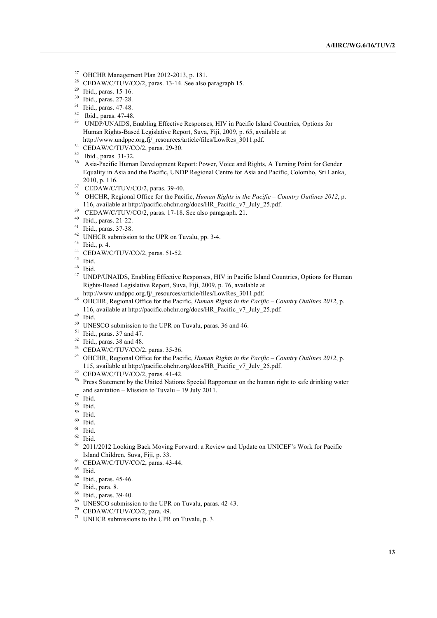- <sup>27</sup> OHCHR Management Plan 2012-2013, p. 181.
- <sup>28</sup> CEDAW/C/TUV/CO/2, paras. 13-14. See also paragraph 15.
- <sup>29</sup> Ibid., paras. 15-16.
- <sup>30</sup> Ibid., paras. 27-28.
- <sup>31</sup> Ibid., paras. 47-48.
- <sup>32</sup> Ibid., paras. 47-48.
- <sup>33</sup> UNDP/UNAIDS, Enabling Effective Responses, HIV in Pacific Island Countries, Options for Human Rights-Based Legislative Report, Suva, Fiji, 2009, p. 65, available at http://www.undppc.org.fj/\_resources/article/files/LowRes\_3011.pdf.
- 
- $34$  CEDAW/C/TUV/CO/2, paras. 29-30.
- <sup>35</sup> Ibid., paras. 31-32.
- <sup>36</sup> Asia-Pacific Human Development Report: Power, Voice and Rights, A Turning Point for Gender Equality in Asia and the Pacific, UNDP Regional Centre for Asia and Pacific, Colombo, Sri Lanka, 2010, p. 116.
- <sup>37</sup> CEDAW/C/TUV/CO/2, paras. 39-40.
- <sup>38</sup> OHCHR, Regional Office for the Pacific, *Human Rights in the Pacific – Country Outlines 2012*, p. 116, available at http://pacific.ohchr.org/docs/HR\_Pacific\_v7\_July\_25.pdf.
- <sup>39</sup> CEDAW/C/TUV/CO/2, paras. 17-18. See also paragraph. 21.
- <sup>40</sup> Ibid., paras. 21-22.
- <sup>41</sup> Ibid., paras. 37-38.
- $42$  UNHCR submission to the UPR on Tuvalu, pp. 3-4.
- <sup>43</sup> Ibid., p. 4.
- <sup>44</sup> CEDAW/C/TUV/CO/2, paras. 51-52.
- $\frac{45}{46}$  Ibid.
- $rac{46}{47}$  Ibid.
- <sup>47</sup> UNDP/UNAIDS, Enabling Effective Responses, HIV in Pacific Island Countries, Options for Human Rights-Based Legislative Report, Suva, Fiji, 2009, p. 76, available at http://www.undppc.org.fj/\_resources/article/files/LowRes\_3011.pdf.
- <sup>48</sup> OHCHR, Regional Office for the Pacific, *Human Rights in the Pacific – Country Outlines 2012*, p.
- 116, available at http://pacific.ohchr.org/docs/HR\_Pacific\_v7\_July\_25.pdf.
- <sup>49</sup> Ibid.
- <sup>50</sup> UNESCO submission to the UPR on Tuvalu, paras. 36 and 46.
- <sup>51</sup> Ibid., paras. 37 and 47.
- $52$  Ibid., paras. 38 and 48.
- <sup>53</sup> CEDAW/C/TUV/CO/2, paras. 35-36.
- <sup>54</sup> OHCHR, Regional Office for the Pacific, *Human Rights in the Pacific – Country Outlines 2012*, p. 115, available at http://pacific.ohchr.org/docs/HR\_Pacific\_v7\_July\_25.pdf.
- $55$  CEDAW/C/TUV/CO/2, paras. 41-42.
- <sup>56</sup> Press Statement by the United Nations Special Rapporteur on the human right to safe drinking water and sanitation – Mission to Tuvalu – 19 July 2011.
- <sup>57</sup> Ibid.
- $\frac{58}{59}$  Ibid.
- $\begin{array}{c} 59 \\ 60 \\ \text{This is} \end{array}$
- Ibid.
- $61$  Ibid.
- $\frac{62}{63}$  Ibid.
- <sup>63</sup> 2011/2012 Looking Back Moving Forward: a Review and Update on UNICEF's Work for Pacific Island Children, Suva, Fiji, p. 33.
- <sup>64</sup> CEDAW/C/TUV/CO/2, paras. 43-44.
- $\begin{array}{c} 65 \\ 66 \end{array}$  Ibid.
- $^{66}$  Ibid., paras. 45-46.
- $^{67}$  Ibid., para. 8.
- $^{68}$  Ibid., paras. 39-40.
- UNESCO submission to the UPR on Tuvalu, paras. 42-43.
- <sup>70</sup> CEDAW/C/TUV/CO/2, para. 49.
- $71$  UNHCR submissions to the UPR on Tuvalu, p. 3.